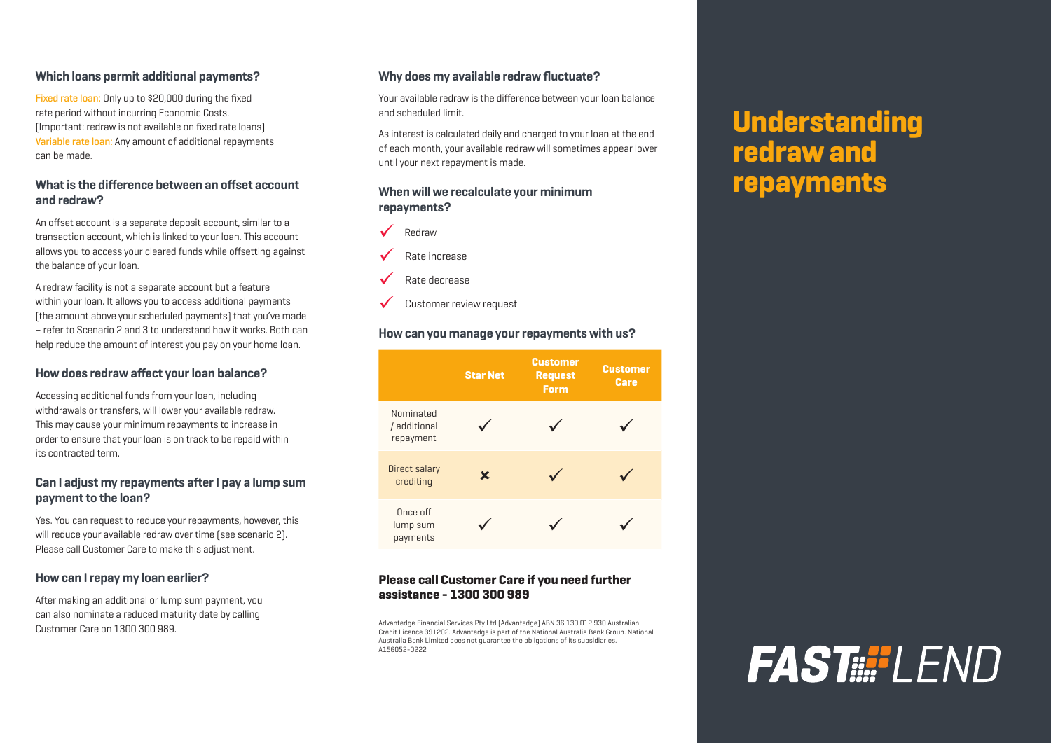### **Which loans permit additional payments?**

Fixed rate loan: Only up to \$20,000 during the fixed rate period without incurring Economic Costs. (Important: redraw is not available on fixed rate loans) Variable rate loan: Any amount of additional repayments can be made.

### **What is the difference between an offset account and redraw?**

An offset account is a separate deposit account, similar to a transaction account, which is linked to your loan. This account allows you to access your cleared funds while offsetting against the balance of your loan.

A redraw facility is not a separate account but a feature within your loan. It allows you to access additional payments (the amount above your scheduled payments) that you've made – refer to Scenario 2 and 3 to understand how it works. Both can help reduce the amount of interest you pay on your home loan.

### **How does redraw affect your loan balance?**

Accessing additional funds from your loan, including withdrawals or transfers, will lower your available redraw. This may cause your minimum repayments to increase in order to ensure that your loan is on track to be repaid within its contracted term.

### **Can I adjust my repayments after I pay a lump sum payment to the loan?**

Yes. You can request to reduce your repayments, however, this will reduce your available redraw over time (see scenario 2). Please call Customer Care to make this adjustment.

#### **How can I repay my loan earlier?**

After making an additional or lump sum payment, you can also nominate a reduced maturity date by calling Customer Care on 1300 300 989.

### **Why does my available redraw fluctuate?**

Your available redraw is the difference between your loan balance and scheduled limit.

As interest is calculated daily and charged to your loan at the end of each month, your available redraw will sometimes appear lower until your next repayment is made.

### **When will we recalculate your minimum repayments?**



Rate increase

- Rate decrease
- Customer review request

#### **How can you manage your repayments with us?**



### **Please call Customer Care if you need further assistance - 1300 300 989**

Advantedge Financial Services Pty Ltd (Advantedge) ABN 36 130 012 930 Australian Credit Licence 391202. Advantedge is part of the National Australia Bank Group. National Australia Bank Limited does not guarantee the obligations of its subsidiaries. A156052-0222

# **Understanding redraw and repayments**

# **FAST !!! | FND**